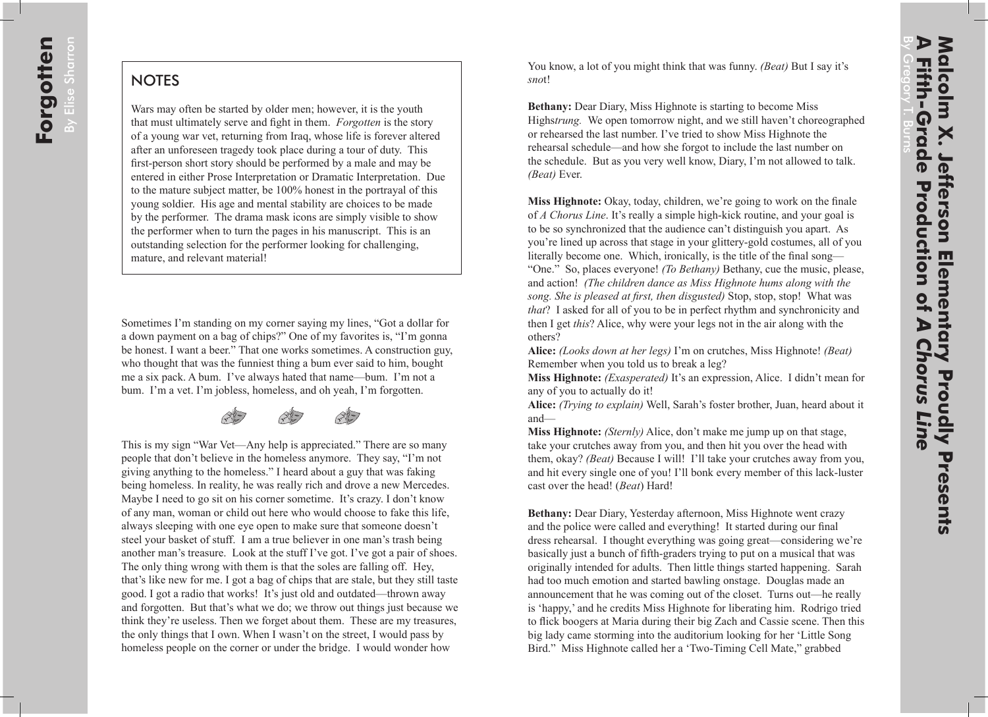## **NOTES**

Wars may often be started by older men; however, it is the youth that must ultimately serve and fight in them. *Forgotten* is the story of a young war vet, returning from Iraq, whose life is forever altered after an unforeseen tragedy took place during a tour of duty. This first-person short story should be performed by a male and may be entered in either Prose Interpretation or Dramatic Interpretation. Due to the mature subject matter, be 100% honest in the portrayal of this young soldier. His age and mental stability are choices to be made by the performer. The drama mask icons are simply visible to show the performer when to turn the pages in his manuscript. This is an outstanding selection for the performer looking for challenging, mature, and relevant material!

Sometimes I'm standing on my corner saying my lines, "Got a dollar for a down payment on a bag of chips?" One of my favorites is, "I'm gonna be honest. I want a beer." That one works sometimes. A construction guy, who thought that was the funniest thing a bum ever said to him, bought me a six pack. A bum. I've always hated that name—bum. I'm not a bum. I'm a vet. I'm jobless, homeless, and oh yeah, I'm forgotten.



This is my sign "War Vet—Any help is appreciated." There are so many people that don't believe in the homeless anymore. They say, "I'm not giving anything to the homeless." I heard about a guy that was faking being homeless. In reality, he was really rich and drove a new Mercedes. Maybe I need to go sit on his corner sometime. It's crazy. I don't know of any man, woman or child out here who would choose to fake this life, always sleeping with one eye open to make sure that someone doesn't steel your basket of stuff. I am a true believer in one man's trash being another man's treasure. Look at the stuff I've got. I've got a pair of shoes. The only thing wrong with them is that the soles are falling off. Hey, that's like new for me. I got a bag of chips that are stale, but they still taste good. I got a radio that works! It's just old and outdated—thrown away and forgotten. But that's what we do; we throw out things just because we think they're useless. Then we forget about them. These are my treasures, the only things that I own. When I wasn't on the street, I would pass by homeless people on the corner or under the bridge. I would wonder how